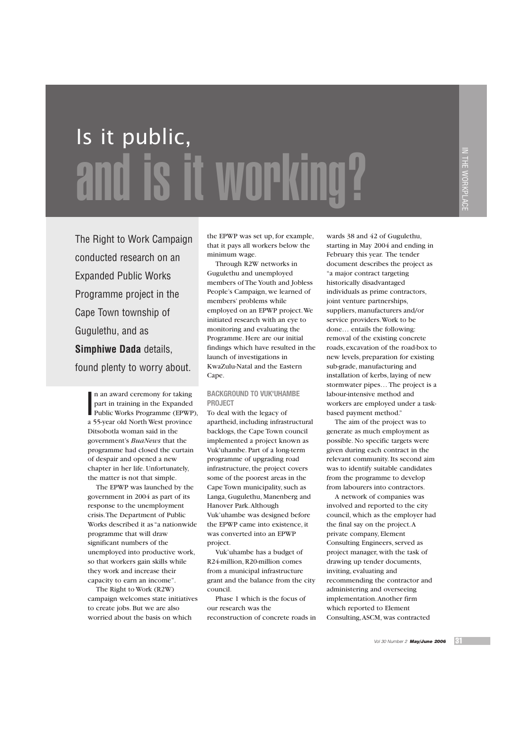# Is it public, and is it working?

The Right to Work Campaign conducted research on an Expanded Public Works Programme project in the Cape Town township of Gugulethu, and as **Simphiwe Dada** details, found plenty to worry about.

n an award ceremony for taking<br>part in training in the Expanded<br>Public Works Programme (EPWP), n an award ceremony for taking part in training in the Expanded a 55-year old North West province Ditsobotla woman said in the government's *BuaNews* that the programme had closed the curtain of despair and opened a new chapter in her life. Unfortunately, the matter is not that simple.

The EPWP was launched by the government in 2004 as part of its response to the unemployment crisis.The Department of Public Works described it as "a nationwide programme that will draw significant numbers of the unemployed into productive work, so that workers gain skills while they work and increase their capacity to earn an income".

The Right to Work (R2W) campaign welcomes state initiatives to create jobs. But we are also worried about the basis on which

the EPWP was set up, for example, that it pays all workers below the minimum wage.

Through R2W networks in Gugulethu and unemployed members of The Youth and Jobless People's Campaign, we learned of members' problems while employed on an EPWP project.We initiated research with an eye to monitoring and evaluating the Programme. Here are our initial findings which have resulted in the launch of investigations in KwaZulu-Natal and the Eastern Cape.

## **BACKGROUND TO VUK'UHAMBE PROJECT**

To deal with the legacy of apartheid, including infrastructural backlogs, the Cape Town council implemented a project known as Vuk'uhambe. Part of a long-term programme of upgrading road infrastructure, the project covers some of the poorest areas in the Cape Town municipality, such as Langa, Gugulethu, Manenberg and Hanover Park.Although Vuk'uhambe was designed before the EPWP came into existence, it was converted into an EPWP project.

Vuk'uhambe has a budget of R24-million, R20-million comes from a municipal infrastructure grant and the balance from the city council.

Phase 1 which is the focus of our research was the reconstruction of concrete roads in

wards 38 and 42 of Gugulethu, starting in May 2004 and ending in February this year. The tender document describes the project as "a major contract targeting historically disadvantaged individuals as prime contractors, joint venture partnerships, suppliers, manufacturers and/or service providers.Work to be done… entails the following: removal of the existing concrete roads, excavation of the road-box to new levels, preparation for existing sub-grade, manufacturing and installation of kerbs, laying of new stormwater pipes… The project is a labour-intensive method and workers are employed under a taskbased payment method."

The aim of the project was to generate as much employment as possible. No specific targets were given during each contract in the relevant community. Its second aim was to identify suitable candidates from the programme to develop from labourers into contractors.

A network of companies was involved and reported to the city council, which as the employer had the final say on the project.A private company, Element Consulting Engineers, served as project manager, with the task of drawing up tender documents, inviting, evaluating and recommending the contractor and administering and overseeing implementation.Another firm which reported to Element Consulting,ASCM, was contracted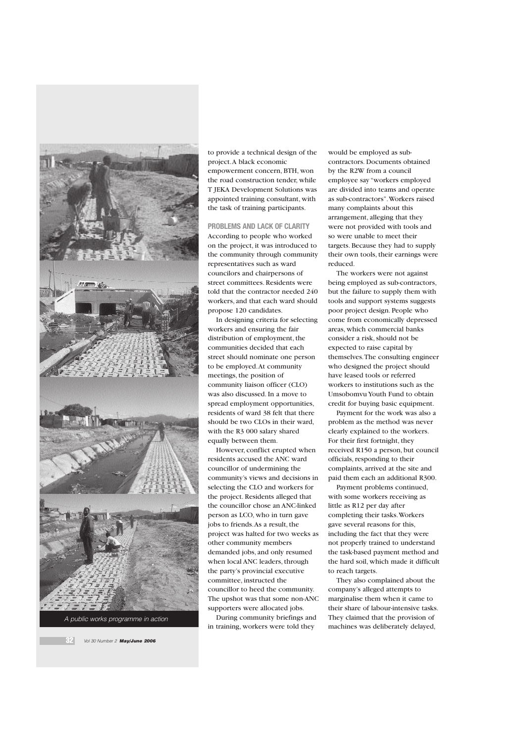



to provide a technical design of the project.A black economic empowerment concern, BTH, won the road construction tender, while T JEKA Development Solutions was appointed training consultant, with the task of training participants.

# **PROBLEMS AND LACK OF CLARITY**

According to people who worked on the project, it was introduced to the community through community representatives such as ward councilors and chairpersons of street committees. Residents were told that the contractor needed 240 workers, and that each ward should propose 120 candidates.

In designing criteria for selecting workers and ensuring the fair distribution of employment, the communities decided that each street should nominate one person to be employed.At community meetings, the position of  $commuity$  liaison officer  $(CLO)$ was also discussed. In a move to spread employment opportunities, residents of ward 38 felt that there should be two CLOs in their ward, with the R3 000 salary shared equally between them.

However, conflict erupted when residents accused the ANC ward councillor of undermining the community's views and decisions in selecting the CLO and workers for the project. Residents alleged that the councillor chose an ANC-linked person as LCO, who in turn gave jobs to friends.As a result, the project was halted for two weeks as other community members demanded jobs, and only resumed when local ANC leaders, through the party's provincial executive committee, instructed the councillor to heed the community. The upshot was that some non-ANC supporters were allocated jobs.

During community briefings and in training, workers were told they

would be employed as subcontractors. Documents obtained by the R2W from a council employee say "workers employed are divided into teams and operate as sub-contractors".Workers raised many complaints about this arrangement, alleging that they were not provided with tools and so were unable to meet their targets. Because they had to supply their own tools, their earnings were reduced.

The workers were not against being employed as sub-contractors, but the failure to supply them with tools and support systems suggests poor project design. People who come from economically depressed areas, which commercial banks consider a risk, should not be expected to raise capital by themselves.The consulting engineer who designed the project should have leased tools or referred workers to institutions such as the Umsobomvu Youth Fund to obtain credit for buying basic equipment.

Payment for the work was also a problem as the method was never clearly explained to the workers. For their first fortnight, they received R150 a person, but council officials, responding to their complaints, arrived at the site and paid them each an additional R300.

Payment problems continued, with some workers receiving as little as R12 per day after completing their tasks.Workers gave several reasons for this, including the fact that they were not properly trained to understand the task-based payment method and the hard soil, which made it difficult to reach targets.

They also complained about the company's alleged attempts to marginalise them when it came to their share of labour-intensive tasks. They claimed that the provision of machines was deliberately delayed,